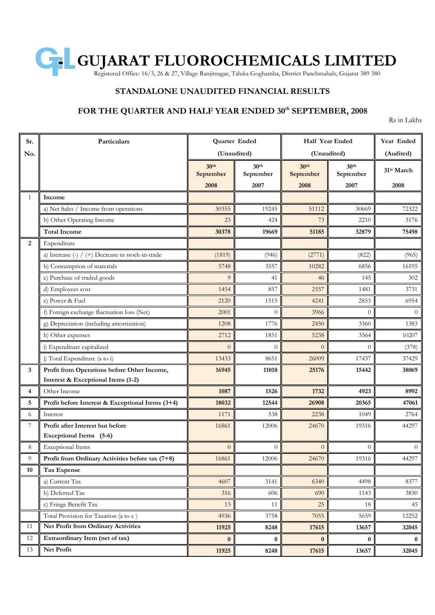

## **STANDALONE UNAUDITED FINANCIAL RESULTS**

### **FOR THE QUARTER AND HALF YEAR ENDED 30 th SEPTEMBER, 2008**

Rs in Lakhs

| Sr. | Particulars                                                                       | Quarter Ended                         |                                       | Half Year Ended                       |                                       | Year Ended                     |
|-----|-----------------------------------------------------------------------------------|---------------------------------------|---------------------------------------|---------------------------------------|---------------------------------------|--------------------------------|
| No. |                                                                                   | (Unaudited)                           |                                       | (Unaudited)                           |                                       | (Audited)                      |
|     |                                                                                   | 30 <sup>th</sup><br>September<br>2008 | 30 <sup>th</sup><br>September<br>2007 | 30 <sup>th</sup><br>September<br>2008 | 30 <sup>th</sup><br>September<br>2007 | 31 <sup>st</sup> March<br>2008 |
| 1   | Income                                                                            |                                       |                                       |                                       |                                       |                                |
|     | a) Net Sales / Income from operations                                             | 30355                                 | 19245                                 | 51112                                 | 30669                                 | 72322                          |
|     | b) Other Operating Income                                                         | 23                                    | 424                                   | 73                                    | 2210                                  | 3176                           |
|     | <b>Total Income</b>                                                               | 30378                                 | 19669                                 | 51185                                 | 32879                                 | 75498                          |
| 2   | Expenditure                                                                       |                                       |                                       |                                       |                                       |                                |
|     | a) Increase (-) / (+) Decrease in stock-in-trade                                  | (1819)                                | (946)                                 | (2771)                                | (822)                                 | (965)                          |
|     | b) Consumption of materials                                                       | 5748                                  | 3557                                  | 10282                                 | 6856                                  | 16195                          |
|     | c) Purchase of traded goods                                                       | 9                                     | 41                                    | 46                                    | 145                                   | 302                            |
|     | d) Employees cost                                                                 | 1454                                  | 857                                   | 2557                                  | 1481                                  | 3731                           |
|     | e) Power & Fuel                                                                   | 2120                                  | 1515                                  | 4241                                  | 2853                                  | 6954                           |
|     | f) Foreign exchange fluctuation loss (Net)                                        | 2001                                  | $\Omega$                              | 3966                                  | 0                                     | $\Omega$                       |
|     | g) Depreciation (including amortization)                                          | 1208                                  | 1776                                  | 2450                                  | 3360                                  | 1383                           |
|     | h) Other expenses                                                                 | 2712                                  | 1851                                  | 5238                                  | 3564                                  | 10207                          |
|     | i) Expenditure capitalized                                                        | $\overline{0}$                        | $\theta$                              | $\overline{0}$                        | 0                                     | (378)                          |
|     | j) Total Expenditure (a to i)                                                     | 13433                                 | 8651                                  | 26009                                 | 17437                                 | 37429                          |
| 3   | Profit from Operations before Other Income,<br>Interest & Exceptional Items (1-2) | 16945                                 | 11018                                 | 25176                                 | 15442                                 | 38069                          |
| 4   | Other Income                                                                      | 1087                                  | 1526                                  | 1732                                  | 4923                                  | 8992                           |
| 5   | Profit before Interest & Exceptional Items (3+4)                                  | 18032                                 | 12544                                 | 26908                                 | 20365                                 | 47061                          |
| 6   | Interest                                                                          | 1171                                  | 538                                   | 2238                                  | 1049                                  | 2764                           |
| 7   | Profit after Interest but before<br>Exceptional Items (5-6)                       | 16861                                 | 12006                                 | 24670                                 | 19316                                 | 44297                          |
| 8   | <b>Exceptional Items</b>                                                          | $\overline{0}$                        | $\theta$                              | $\overline{0}$                        | $\boldsymbol{0}$                      | $\overline{0}$                 |
| 9   | Profit from Ordinary Activities before tax (7+8)                                  | 16861                                 | 12006                                 | 24670                                 | 19316                                 | 44297                          |
| 10  | Tax Expense                                                                       |                                       |                                       |                                       |                                       |                                |
|     | a) Current Tax                                                                    | 4607                                  | 3141                                  | 6340                                  | 4498                                  | 8377                           |
|     | b) Deferred Tax                                                                   | 316                                   | 606                                   | 690                                   | 1143                                  | 3830                           |
|     | c) Fringe Benefit Tax                                                             | 13                                    | 11                                    | 25                                    | 18                                    | 45                             |
|     | Total Provision for Taxation (a to c)                                             | 4936                                  | 3758                                  | 7055                                  | 5659                                  | 12252                          |
| 11  | Net Profit from Ordinary Activities                                               | 11925                                 | 8248                                  | 17615                                 | 13657                                 | 32045                          |
| 12  | Extraordinary Item (net of tax)                                                   | $\bf{0}$                              | $\bf{0}$                              | $\bf{0}$                              | $\bf{0}$                              | $\bf{0}$                       |
| 13  | Net Profit                                                                        | 11925                                 | 8248                                  | 17615                                 | 13657                                 | 32045                          |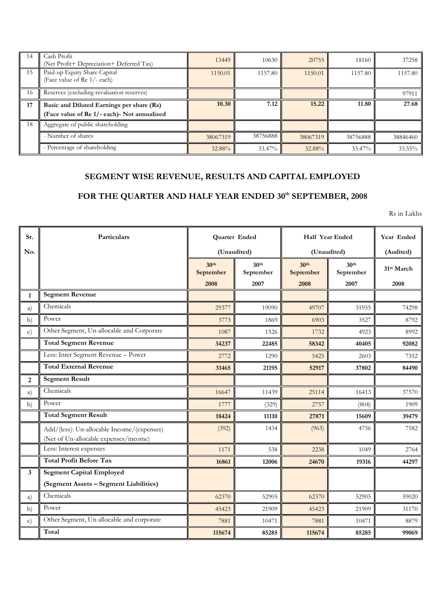| 14 | Cash Profit<br>Net Profit+ Depreciation+ Deferred Tax)      | 13449    | 10630    | 20755    | 18160    | 37258     |
|----|-------------------------------------------------------------|----------|----------|----------|----------|-----------|
| 15 | Paid-up Equity Share Capital<br>(Face value of Re 1/- each) | 1150.01  | 1157.80  | 1150.01  | 1157.80  | 1157.80   |
| 16 | Reserves (excluding revaluation reserves)                   |          |          |          |          | 97911     |
| 17 | Basic and Diluted Earnings per share (Rs)                   | 10.30    | 7.12     | 15.22    | 11.80    | 27.68     |
|    | (Face value of Re 1/- each) - Not annualized                |          |          |          |          |           |
| 18 | Aggregate of public shareholding                            |          |          |          |          |           |
|    | - Number of shares                                          | 38067319 | 38756888 | 38067319 | 38756888 | 38846460  |
|    | - Percentage of shareholding                                | 32.88%   | 33.47%   | 32.88%   | 33.47%   | $33.55\%$ |

# **SEGMENT WISE REVENUE, RESULTS AND CAPITAL EMPLOYED**

#### **FOR THE QUARTER AND HALF YEAR ENDED 30 th SEPTEMBER, 2008**

Rs in Lakhs

| Sr.            | Particulars                                                                         | Quarter Ended                 |                               | Half Year Ended               |                               | Year Ended             |
|----------------|-------------------------------------------------------------------------------------|-------------------------------|-------------------------------|-------------------------------|-------------------------------|------------------------|
| No.            |                                                                                     | (Unaudited)                   |                               | (Unaudited)                   |                               | (Audited)              |
|                |                                                                                     | 30 <sup>th</sup><br>September | 30 <sup>th</sup><br>September | 30 <sup>th</sup><br>September | 30 <sup>th</sup><br>September | 31 <sup>st</sup> March |
|                |                                                                                     | 2008                          | 2007                          | 2008                          | 2007                          | 2008                   |
| $\mathbf{1}$   | <b>Segment Revenue</b>                                                              |                               |                               |                               |                               |                        |
| a)             | Chemicals                                                                           | 29377                         | 19090                         | 49707                         | 31955                         | 74298                  |
| b)             | Power                                                                               | 3773                          | 1869                          | 6903                          | 3527                          | 8792                   |
| $\mathbf{c}$   | Other Segment, Un-allocable and Corporate                                           | 1087                          | 1526                          | 1732                          | 4923                          | 8992                   |
|                | <b>Total Segment Revenue</b>                                                        | 34237                         | 22485                         | 58342                         | 40405                         | 92082                  |
|                | Less: Inter Segment Revenue - Power                                                 | 2772                          | 1290                          | 5425                          | 2603                          | 7352                   |
|                | <b>Total External Revenue</b>                                                       | 31465                         | 21195                         | 52917                         | 37802                         | 84490                  |
| $\overline{2}$ | <b>Segment Result</b>                                                               |                               |                               |                               |                               |                        |
| a)             | Chemicals                                                                           | 16647                         | 11439                         | 25114                         | 16413                         | 37570                  |
| b)             | Power                                                                               | 1777                          | (329)                         | 2757                          | (804)                         | 1909                   |
|                | <b>Total Segment Result</b>                                                         | 18424                         | 11110                         | 27871                         | 15609                         | 39479                  |
|                | Add/(less): Un-allocable Income/(expenses)<br>(Net of Un-allocable expenses/income) | (392)                         | 1434                          | (963)                         | 4756                          | 7582                   |
|                | Less: Interest expenses                                                             | 1171                          | 538                           | 2238                          | 1049                          | 2764                   |
|                | <b>Total Profit Before Tax</b>                                                      | 16861                         | 12006                         | 24670                         | 19316                         | 44297                  |
| 3              | <b>Segment Capital Employed</b>                                                     |                               |                               |                               |                               |                        |
|                | (Segment Assets - Segment Liabilities)                                              |                               |                               |                               |                               |                        |
| a)             | Chemicals                                                                           | 62370                         | 52905                         | 62370                         | 52905                         | 59020                  |
| b)             | Power                                                                               | 45423                         | 21909                         | 45423                         | 21909                         | 31170                  |
| $\mathbf{c})$  | Other Segment, Un-allocable and corporate                                           | 7881                          | 10471                         | 7881                          | 10471                         | 8879                   |
|                | Total                                                                               | 115674                        | 85285                         | 115674                        | 85285                         | 99069                  |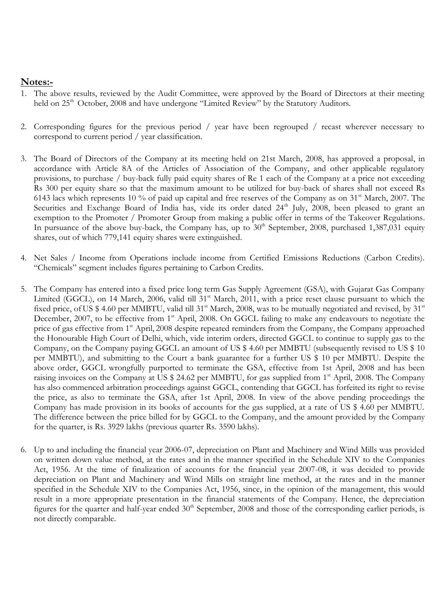# **Notes:-**

- 1. The above results, reviewed by the Audit Committee, were approved by the Board of Directors at their meeting held on 25<sup>th</sup> October, 2008 and have undergone "Limited Review" by the Statutory Auditors.
- 2. Corresponding figures for the previous period / year have been regrouped / recast wherever necessary to correspond to current period / year classification.
- 3. The Board of Directors of the Company at its meeting held on 21st March, 2008, has approved a proposal, in accordance with Article 8A of the Articles of Association of the Company, and other applicable regulatory provisions, to purchase / buy-back fully paid equity shares of Re 1 each of the Company at a price not exceeding Rs 300 per equity share so that the maximum amount to be utilized for buy-back of shares shall not exceed Rs 6143 lacs which represents 10 % of paid up capital and free reserves of the Company as on  $31^{\text{st}}$  March, 2007. The Securities and Exchange Board of India has, vide its order dated 24<sup>th</sup> July, 2008, been pleased to grant an exemption to the Promoter / Promoter Group from making a public offer in terms of the Takeover Regulations. In pursuance of the above buy-back, the Company has, up to  $30<sup>th</sup>$  September, 2008, purchased 1,387,031 equity shares, out of which 779,141 equity shares were extinguished.
- 4. Net Sales / Income from Operations include income from Certified Emissions Reductions (Carbon Credits). "Chemicals" segment includes figures pertaining to Carbon Credits.
- 5. The Company has entered into a fixed price long term Gas Supply Agreement (GSA), with Gujarat Gas Company Limited (GGCL), on 14 March, 2006, valid till  $31<sup>st</sup>$  March, 2011, with a price reset clause pursuant to which the fixed price, of US \$ 4.60 per MMBTU, valid till 31<sup>st</sup> March, 2008, was to be mutually negotiated and revised, by 31<sup>st</sup> December, 2007, to be effective from 1<sup>st</sup> April, 2008. On GGCL failing to make any endeavours to negotiate the price of gas effective from 1<sup>st</sup> April, 2008 despite repeated reminders from the Company, the Company approached the Honourable High Court of Delhi, which, vide interim orders, directed GGCL to continue to supply gas to the Company, on the Company paying GGCL an amount of US \$ 4.60 per MMBTU (subsequently revised to US \$ 10 per MMBTU), and submitting to the Court a bank guarantee for a further US \$ 10 per MMBTU. Despite the above order, GGCL wrongfully purported to terminate the GSA, effective from 1st April, 2008 and has been raising invoices on the Company at US \$ 24.62 per MMBTU, for gas supplied from 1<sup>st</sup> April, 2008. The Company has also commenced arbitration proceedings against GGCL, contending that GGCL has forfeited its right to revise the price, as also to terminate the GSA, after 1st April, 2008. In view of the above pending proceedings the Company has made provision in its books of accounts for the gas supplied, at a rate of US \$ 4.60 per MMBTU. The difference between the price billed for by GGCL to the Company, and the amount provided by the Company for the quarter, is Rs. 3929 lakhs (previous quarter Rs. 3590 lakhs).
- 6. Up to and including the financial year 2006-07, depreciation on Plant and Machinery and Wind Mills was provided on written down value method, at the rates and in the manner specified in the Schedule XIV to the Companies Act, 1956. At the time of finalization of accounts for the financial year 2007-08, it was decided to provide depreciation on Plant and Machinery and Wind Mills on straight line method, at the rates and in the manner specified in the Schedule XIV to the Companies Act, 1956, since, in the opinion of the management, this would result in a more appropriate presentation in the financial statements of the Company. Hence, the depreciation figures for the quarter and half-year ended  $30<sup>th</sup>$  September, 2008 and those of the corresponding earlier periods, is not directly comparable.